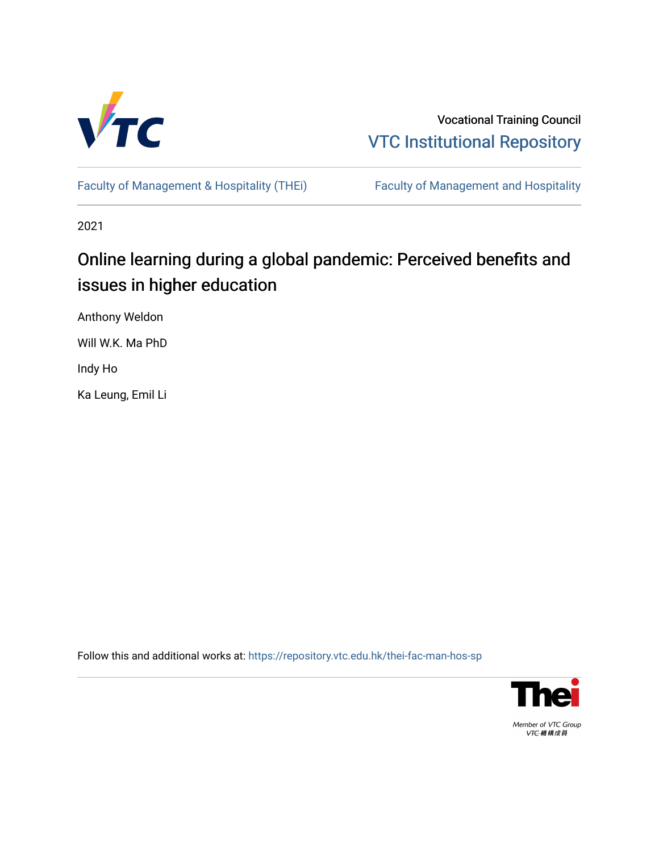

Vocational Training Council [VTC Institutional Repository](https://repository.vtc.edu.hk/) 

[Faculty of Management & Hospitality \(THEi\)](https://repository.vtc.edu.hk/thei-fac-man-hos-sp) Faculty of Management and Hospitality

2021

# Online learning during a global pandemic: Perceived benefits and issues in higher education

Anthony Weldon

Will W.K. Ma PhD

Indy Ho

Ka Leung, Emil Li

Follow this and additional works at: [https://repository.vtc.edu.hk/thei-fac-man-hos-sp](https://repository.vtc.edu.hk/thei-fac-man-hos-sp?utm_source=repository.vtc.edu.hk%2Fthei-fac-man-hos-sp%2F179&utm_medium=PDF&utm_campaign=PDFCoverPages)



Member of VTC Group VTC機構成員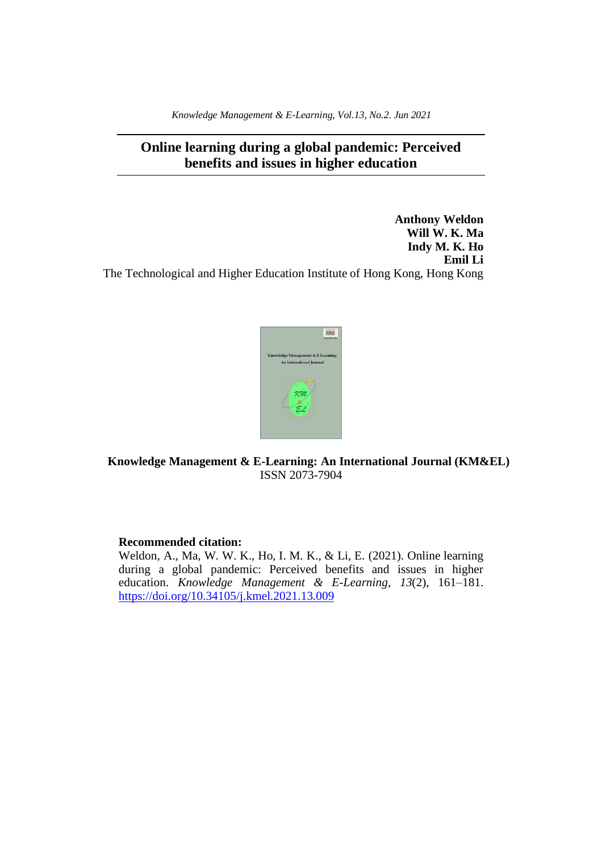*Knowledge Management & E-Learning, Vol.13, No.2. Jun 2021*

# **Online learning during a global pandemic: Perceived benefits and issues in higher education**

**Anthony Weldon Will W. K. Ma Indy M. K. Ho Emil Li** The Technological and Higher Education Institute of Hong Kong, Hong Kong



**Knowledge Management & E-Learning: An International Journal (KM&EL)** ISSN 2073-7904

# **Recommended citation:**

Weldon, A., Ma, W. W. K., Ho, I. M. K., & Li, E. (2021). Online learning during a global pandemic: Perceived benefits and issues in higher education. *Knowledge Management & E-Learning, 13*(2), 161–181. <https://doi.org/10.34105/j.kmel.2021.13.009>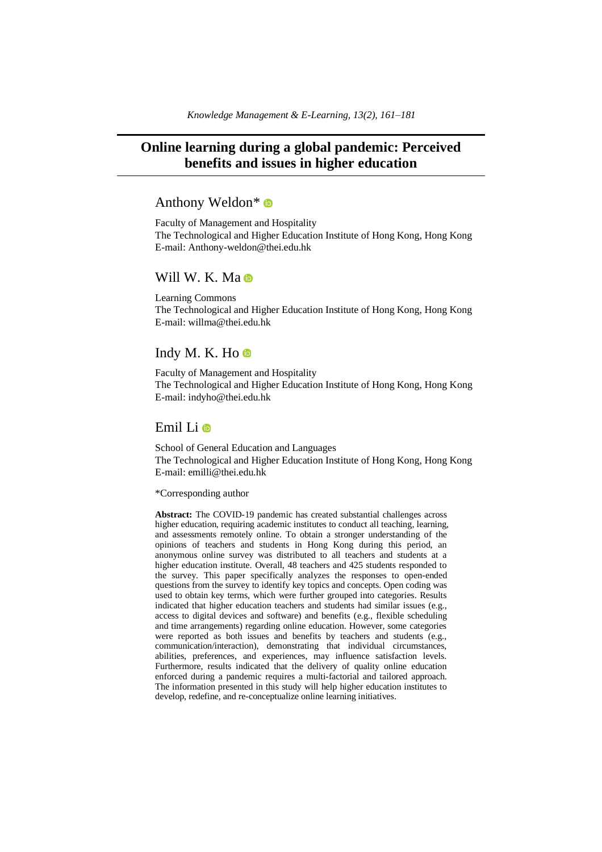# **Online learning during a global pandemic: Perceived benefits and issues in higher education**

# Anthony Weldon\*

Faculty of Management and Hospitality The Technological and Higher Education Institute of Hong Kong, Hong Kong E-mail: Anthony-weldon@thei.edu.hk

# Will W. K. Ma

Learning Commons The Technological and Higher Education Institute of Hong Kong, Hong Kong E-mail: willma@thei.edu.hk

# Indy M. K. Ho  $\bullet$

Faculty of Management and Hospitality The Technological and Higher Education Institute of Hong Kong, Hong Kong E-mail: indyho@thei.edu.hk

# Emil Li

School of General Education and Languages The Technological and Higher Education Institute of Hong Kong, Hong Kong E-mail: emilli@thei.edu.hk

# \*Corresponding author

**Abstract:** The COVID-19 pandemic has created substantial challenges across higher education, requiring academic institutes to conduct all teaching, learning, and assessments remotely online. To obtain a stronger understanding of the opinions of teachers and students in Hong Kong during this period, an anonymous online survey was distributed to all teachers and students at a higher education institute. Overall, 48 teachers and 425 students responded to the survey. This paper specifically analyzes the responses to open-ended questions from the survey to identify key topics and concepts. Open coding was used to obtain key terms, which were further grouped into categories. Results indicated that higher education teachers and students had similar issues (e.g., access to digital devices and software) and benefits (e.g., flexible scheduling and time arrangements) regarding online education. However, some categories were reported as both issues and benefits by teachers and students (e.g., communication/interaction), demonstrating that individual circumstances, abilities, preferences, and experiences, may influence satisfaction levels. Furthermore, results indicated that the delivery of quality online education enforced during a pandemic requires a multi-factorial and tailored approach. The information presented in this study will help higher education institutes to develop, redefine, and re-conceptualize online learning initiatives.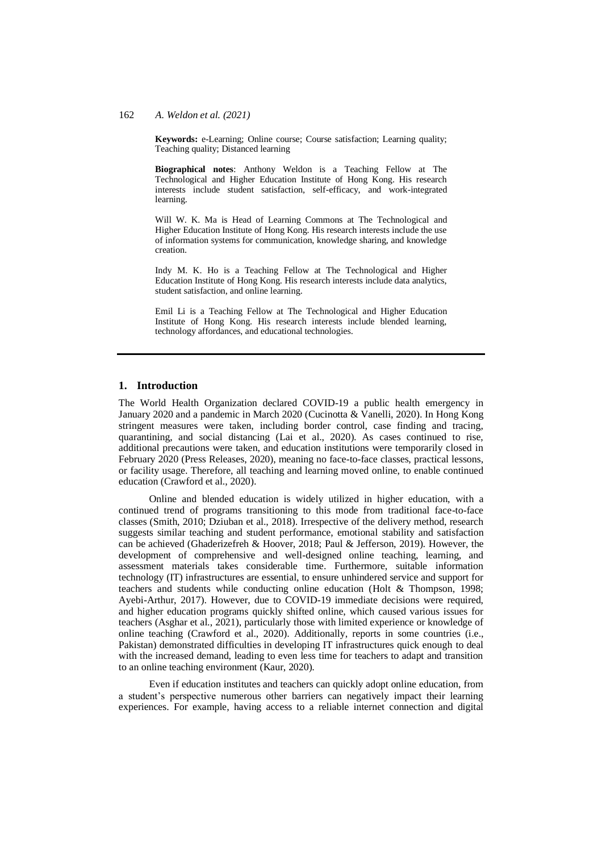**Keywords:** e-Learning; Online course; Course satisfaction; Learning quality; Teaching quality; Distanced learning

**Biographical notes**: Anthony Weldon is a Teaching Fellow at The Technological and Higher Education Institute of Hong Kong. His research interests include student satisfaction, self-efficacy, and work-integrated learning.

Will W. K. Ma is Head of Learning Commons at The Technological and Higher Education Institute of Hong Kong. His research interests include the use of information systems for communication, knowledge sharing, and knowledge creation.

Indy M. K. Ho is a Teaching Fellow at The Technological and Higher Education Institute of Hong Kong. His research interests include data analytics, student satisfaction, and online learning.

Emil Li is a Teaching Fellow at The Technological and Higher Education Institute of Hong Kong. His research interests include blended learning, technology affordances, and educational technologies.

#### **1. Introduction**

The World Health Organization declared COVID-19 a public health emergency in January 2020 and a pandemic in March 2020 (Cucinotta & Vanelli, 2020). In Hong Kong stringent measures were taken, including border control, case finding and tracing, quarantining, and social distancing (Lai et al., 2020). As cases continued to rise, additional precautions were taken, and education institutions were temporarily closed in February 2020 (Press Releases, 2020), meaning no face-to-face classes, practical lessons, or facility usage. Therefore, all teaching and learning moved online, to enable continued education (Crawford et al., 2020).

Online and blended education is widely utilized in higher education, with a continued trend of programs transitioning to this mode from traditional face-to-face classes (Smith, 2010; Dziuban et al., 2018). Irrespective of the delivery method, research suggests similar teaching and student performance, emotional stability and satisfaction can be achieved (Ghaderizefreh & Hoover, 2018; Paul & Jefferson, 2019). However, the development of comprehensive and well-designed online teaching, learning, and assessment materials takes considerable time. Furthermore, suitable information technology (IT) infrastructures are essential, to ensure unhindered service and support for teachers and students while conducting online education (Holt & Thompson, 1998; Ayebi-Arthur, 2017). However, due to COVID-19 immediate decisions were required, and higher education programs quickly shifted online, which caused various issues for teachers (Asghar et al., 2021), particularly those with limited experience or knowledge of online teaching (Crawford et al., 2020). Additionally, reports in some countries (i.e., Pakistan) demonstrated difficulties in developing IT infrastructures quick enough to deal with the increased demand, leading to even less time for teachers to adapt and transition to an online teaching environment (Kaur, 2020).

Even if education institutes and teachers can quickly adopt online education, from a student's perspective numerous other barriers can negatively impact their learning experiences. For example, having access to a reliable internet connection and digital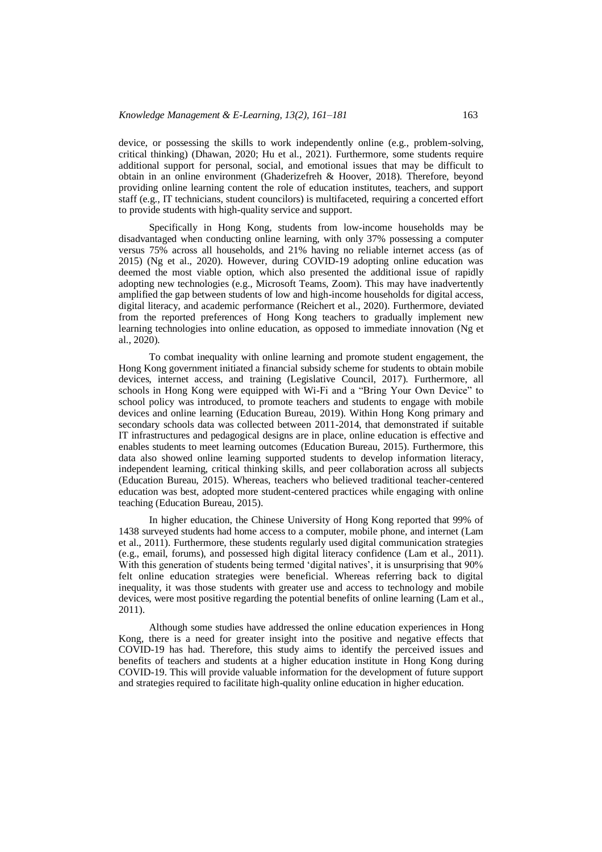device, or possessing the skills to work independently online (e.g., problem-solving, critical thinking) (Dhawan, 2020; Hu et al., 2021). Furthermore, some students require additional support for personal, social, and emotional issues that may be difficult to obtain in an online environment (Ghaderizefreh & Hoover, 2018). Therefore, beyond providing online learning content the role of education institutes, teachers, and support staff (e.g., IT technicians, student councilors) is multifaceted, requiring a concerted effort to provide students with high-quality service and support.

Specifically in Hong Kong, students from low-income households may be disadvantaged when conducting online learning, with only 37% possessing a computer versus 75% across all households, and 21% having no reliable internet access (as of 2015) (Ng et al., 2020). However, during COVID-19 adopting online education was deemed the most viable option, which also presented the additional issue of rapidly adopting new technologies (e.g., Microsoft Teams, Zoom). This may have inadvertently amplified the gap between students of low and high-income households for digital access, digital literacy, and academic performance (Reichert et al., 2020). Furthermore, deviated from the reported preferences of Hong Kong teachers to gradually implement new learning technologies into online education, as opposed to immediate innovation (Ng et al., 2020).

To combat inequality with online learning and promote student engagement, the Hong Kong government initiated a financial subsidy scheme for students to obtain mobile devices, internet access, and training (Legislative Council, 2017). Furthermore, all schools in Hong Kong were equipped with Wi-Fi and a "Bring Your Own Device" to school policy was introduced, to promote teachers and students to engage with mobile devices and online learning (Education Bureau, 2019). Within Hong Kong primary and secondary schools data was collected between 2011-2014, that demonstrated if suitable IT infrastructures and pedagogical designs are in place, online education is effective and enables students to meet learning outcomes (Education Bureau, 2015). Furthermore, this data also showed online learning supported students to develop information literacy, independent learning, critical thinking skills, and peer collaboration across all subjects (Education Bureau, 2015). Whereas, teachers who believed traditional teacher-centered education was best, adopted more student-centered practices while engaging with online teaching (Education Bureau, 2015).

In higher education, the Chinese University of Hong Kong reported that 99% of 1438 surveyed students had home access to a computer, mobile phone, and internet (Lam et al., 2011). Furthermore, these students regularly used digital communication strategies (e.g., email, forums), and possessed high digital literacy confidence (Lam et al., 2011). With this generation of students being termed 'digital natives', it is unsurprising that 90% felt online education strategies were beneficial. Whereas referring back to digital inequality, it was those students with greater use and access to technology and mobile devices, were most positive regarding the potential benefits of online learning (Lam et al., 2011).

Although some studies have addressed the online education experiences in Hong Kong, there is a need for greater insight into the positive and negative effects that COVID-19 has had. Therefore, this study aims to identify the perceived issues and benefits of teachers and students at a higher education institute in Hong Kong during COVID-19. This will provide valuable information for the development of future support and strategies required to facilitate high-quality online education in higher education.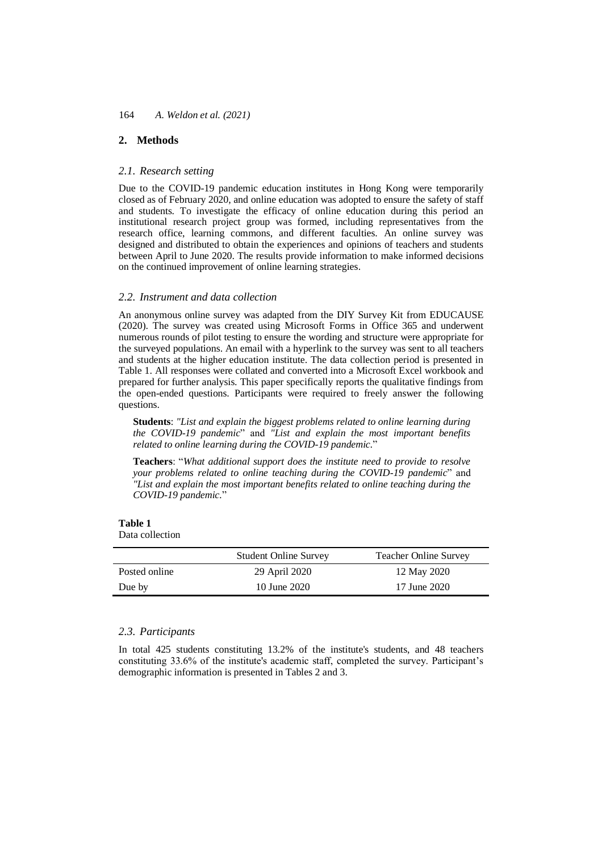# **2. Methods**

# *2.1. Research setting*

Due to the COVID-19 pandemic education institutes in Hong Kong were temporarily closed as of February 2020, and online education was adopted to ensure the safety of staff and students. To investigate the efficacy of online education during this period an institutional research project group was formed, including representatives from the research office, learning commons, and different faculties. An online survey was designed and distributed to obtain the experiences and opinions of teachers and students between April to June 2020. The results provide information to make informed decisions on the continued improvement of online learning strategies.

#### *2.2. Instrument and data collection*

An anonymous online survey was adapted from the DIY Survey Kit from EDUCAUSE (2020). The survey was created using Microsoft Forms in Office 365 and underwent numerous rounds of pilot testing to ensure the wording and structure were appropriate for the surveyed populations. An email with a hyperlink to the survey was sent to all teachers and students at the higher education institute. The data collection period is presented in Table 1. All responses were collated and converted into a Microsoft Excel workbook and prepared for further analysis. This paper specifically reports the qualitative findings from the open-ended questions. Participants were required to freely answer the following questions.

**Students**: *"List and explain the biggest problems related to online learning during the COVID-19 pandemic*" and *"List and explain the most important benefits related to online learning during the COVID-19 pandemic.*"

**Teachers**: "*What additional support does the institute need to provide to resolve your problems related to online teaching during the COVID-19 pandemic*" and *"List and explain the most important benefits related to online teaching during the COVID-19 pandemic.*"

**Table 1** Data collection

|               | <b>Student Online Survey</b> | <b>Teacher Online Survey</b> |
|---------------|------------------------------|------------------------------|
| Posted online | 29 April 2020                | 12 May 2020                  |
| Due by        | 10 June 2020                 | 17 June 2020                 |

# *2.3. Participants*

In total 425 students constituting 13.2% of the institute's students, and 48 teachers constituting 33.6% of the institute's academic staff, completed the survey. Participant's demographic information is presented in Tables 2 and 3.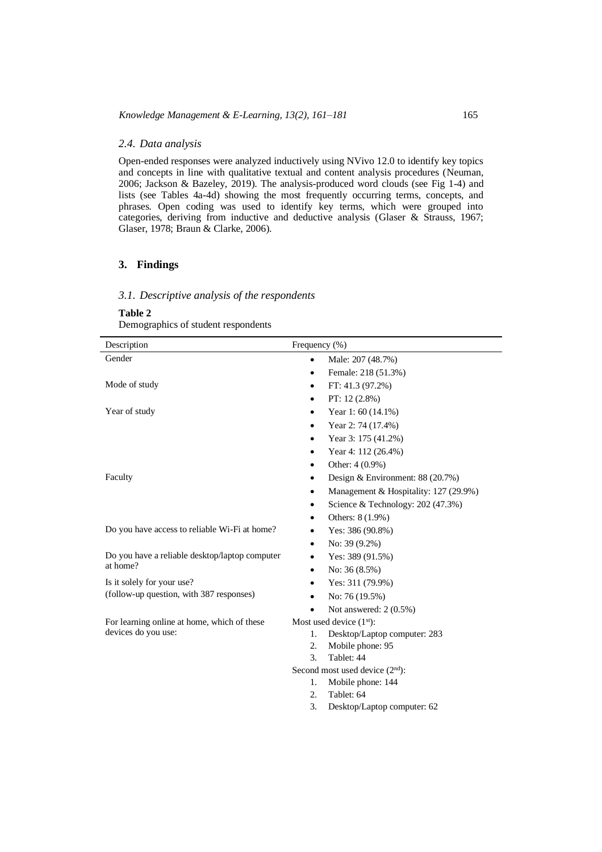# *2.4. Data analysis*

Open-ended responses were analyzed inductively using NVivo 12.0 to identify key topics and concepts in line with qualitative textual and content analysis procedures (Neuman, 2006; Jackson & Bazeley, 2019). The analysis-produced word clouds (see Fig 1-4) and lists (see Tables 4a-4d) showing the most frequently occurring terms, concepts, and phrases. Open coding was used to identify key terms, which were grouped into categories, deriving from inductive and deductive analysis (Glaser & Strauss, 1967; Glaser, 1978; Braun & Clarke, 2006).

# **3. Findings**

# *3.1. Descriptive analysis of the respondents*

# **Table 2**

Demographics of student respondents

| Description                                    | Frequency $(\% )$                                                                              |  |  |
|------------------------------------------------|------------------------------------------------------------------------------------------------|--|--|
| Gender                                         | Male: 207 (48.7%)                                                                              |  |  |
|                                                | Female: 218 (51.3%)<br>٠                                                                       |  |  |
| Mode of study                                  | FT: 41.3 (97.2%)<br>٠                                                                          |  |  |
|                                                | PT: $12(2.8\%)$<br>٠                                                                           |  |  |
| Year of study                                  | Year 1: 60 (14.1%)<br>٠                                                                        |  |  |
|                                                | Year 2: 74 (17.4%)<br>٠                                                                        |  |  |
|                                                | Year 3: 175 (41.2%)                                                                            |  |  |
|                                                | Year 4: 112 (26.4%)                                                                            |  |  |
|                                                | Other: 4 (0.9%)                                                                                |  |  |
| Faculty                                        | Design & Environment: 88 (20.7%)<br>٠                                                          |  |  |
|                                                | Management & Hospitality: 127 (29.9%)<br>٠                                                     |  |  |
|                                                | Science & Technology: 202 (47.3%)<br>٠                                                         |  |  |
|                                                | Others: 8 (1.9%)<br>٠                                                                          |  |  |
| Do you have access to reliable Wi-Fi at home?  | Yes: 386 (90.8%)<br>٠                                                                          |  |  |
|                                                | No: 39 (9.2%)<br>٠                                                                             |  |  |
| Do you have a reliable desktop/laptop computer | Yes: 389 (91.5%)                                                                               |  |  |
| at home?                                       | No: $36(8.5\%)$<br>٠                                                                           |  |  |
| Is it solely for your use?                     | Yes: 311 (79.9%)                                                                               |  |  |
| (follow-up question, with 387 responses)       | No: 76 (19.5%)                                                                                 |  |  |
|                                                | Not answered: 2 (0.5%)                                                                         |  |  |
| For learning online at home, which of these    | Most used device (1st):                                                                        |  |  |
|                                                | Desktop/Laptop computer: 283<br>1.                                                             |  |  |
|                                                | 2.<br>Mobile phone: 95                                                                         |  |  |
|                                                |                                                                                                |  |  |
|                                                | Second most used device $(2nd)$ :                                                              |  |  |
|                                                | 1.                                                                                             |  |  |
|                                                |                                                                                                |  |  |
|                                                |                                                                                                |  |  |
| devices do you use:                            | Tablet: 44<br>3.<br>Mobile phone: 144<br>Tablet: 64<br>2.<br>3.<br>Desktop/Laptop computer: 62 |  |  |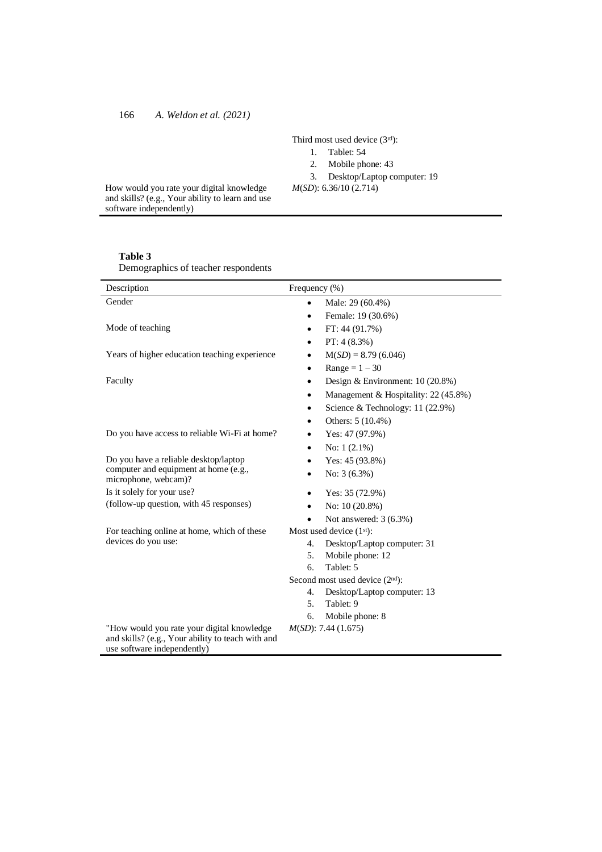Third most used device (3rd):

- 1. Tablet: 54
- 2. Mobile phone: 43
- 3. Desktop/Laptop computer: 19

*M*(*SD*): 6.36/10 (2.714)

How would you rate your digital knowledge and skills? (e.g., Your ability to learn and use software independently)

# **Table 3**

Demographics of teacher respondents

| Description                                                                                                                    | Frequency (%)                             |  |  |
|--------------------------------------------------------------------------------------------------------------------------------|-------------------------------------------|--|--|
| Gender                                                                                                                         | Male: 29 (60.4%)<br>$\bullet$             |  |  |
|                                                                                                                                | Female: 19 (30.6%)                        |  |  |
| Mode of teaching                                                                                                               | FT: 44 (91.7%)                            |  |  |
|                                                                                                                                | PT: $4(8.3\%)$                            |  |  |
| Years of higher education teaching experience                                                                                  | $M(SD) = 8.79(6.046)$<br>٠                |  |  |
|                                                                                                                                | $Range = 1 - 30$<br>٠                     |  |  |
| Faculty                                                                                                                        | Design & Environment: $10(20.8%)$         |  |  |
|                                                                                                                                | Management & Hospitality: 22 (45.8%)<br>٠ |  |  |
|                                                                                                                                | Science & Technology: 11 (22.9%)          |  |  |
|                                                                                                                                | Others: 5 (10.4%)<br>$\bullet$            |  |  |
| Do you have access to reliable Wi-Fi at home?                                                                                  | Yes: 47 (97.9%)                           |  |  |
|                                                                                                                                | No: $1(2.1\%)$<br>$\bullet$               |  |  |
| Do you have a reliable desktop/laptop                                                                                          | Yes: 45 (93.8%)                           |  |  |
| computer and equipment at home (e.g.,<br>microphone, webcam)?                                                                  | No: $3(6.3\%)$                            |  |  |
| Is it solely for your use?                                                                                                     | Yes: $35(72.9%)$                          |  |  |
| (follow-up question, with 45 responses)                                                                                        | No: 10 (20.8%)                            |  |  |
|                                                                                                                                | Not answered: 3 (6.3%)                    |  |  |
| For teaching online at home, which of these                                                                                    | Most used device $(1st)$ :                |  |  |
| devices do you use:                                                                                                            | Desktop/Laptop computer: 31<br>4.         |  |  |
|                                                                                                                                | 5.<br>Mobile phone: 12                    |  |  |
|                                                                                                                                | Tablet: 5<br>6.                           |  |  |
|                                                                                                                                | Second most used device $(2nd)$ :         |  |  |
|                                                                                                                                | Desktop/Laptop computer: 13<br>4.         |  |  |
|                                                                                                                                | 5.<br>Tablet: 9                           |  |  |
|                                                                                                                                | Mobile phone: 8<br>б.                     |  |  |
| "How would you rate your digital knowledge<br>and skills? (e.g., Your ability to teach with and<br>use software independently) | $M(SD)$ : 7.44 (1.675)                    |  |  |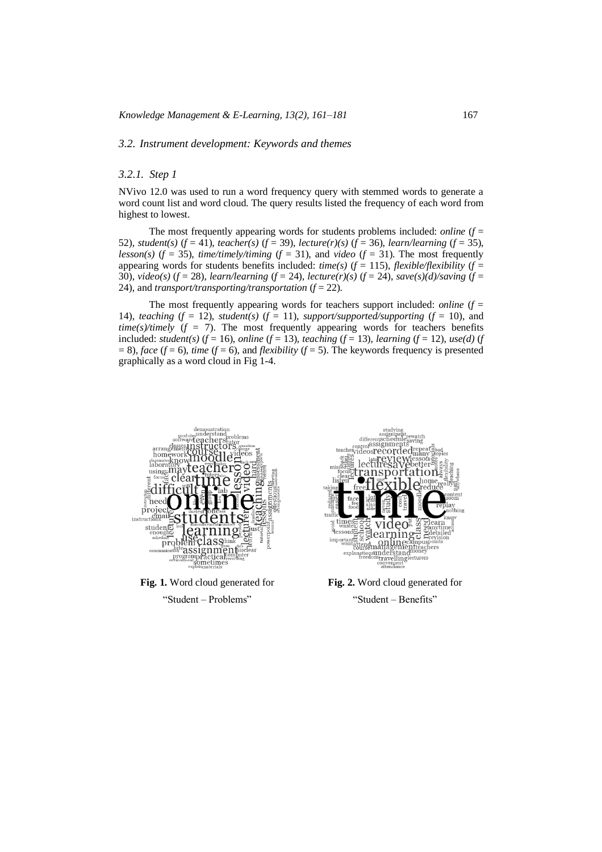#### *3.2. Instrument development: Keywords and themes*

# *3.2.1. Step 1*

NVivo 12.0 was used to run a word frequency query with stemmed words to generate a word count list and word cloud. The query results listed the frequency of each word from highest to lowest.

The most frequently appearing words for students problems included: *online*  $(f =$ 52), *student(s)* ( $f = 41$ ), *teacher(s)* ( $f = 39$ ), *lecture(r)(s)* ( $f = 36$ ), *learn/learning* ( $f = 35$ ), *lesson(s)*  $(f = 35)$ , *time/timely/timing*  $(f = 31)$ , and *video*  $(f = 31)$ . The most frequently appearing words for students benefits included:  $time(s)$  ( $f = 115$ ), *flexible/flexibility* ( $f = 115$ ) 30),  $video(s)$  ( $f = 28$ ),  $learn/learning$  ( $f = 24$ ),  $lecture(r)(s)$  ( $f = 24$ ),  $save(s)(d)/saving$  ( $f =$ 24), and *transport/transporting/transportation* (*f* = 22).

The most frequently appearing words for teachers support included: *online*  $(f =$ 14), *teaching*  $(f = 12)$ , *student*(*s*)  $(f = 11)$ , *support/supported/supporting*  $(f = 10)$ , and  $time(s)/timely$  ( $f = 7$ ). The most frequently appearing words for teachers benefits included: *student(s)* ( $f = 16$ ), *online* ( $f = 13$ ), *teaching* ( $f = 13$ ), *learning* ( $f = 12$ ), *use(d)* ( $f = 12$ )  $= 8$ ), *face* (*f* = 6), *time* (*f* = 6), and *flexibility* (*f* = 5). The keywords frequency is presented graphically as a word cloud in Fig 1-4.



**Fig. 1.** Word cloud generated for





**Fig. 2.** Word cloud generated for "Student – Benefits"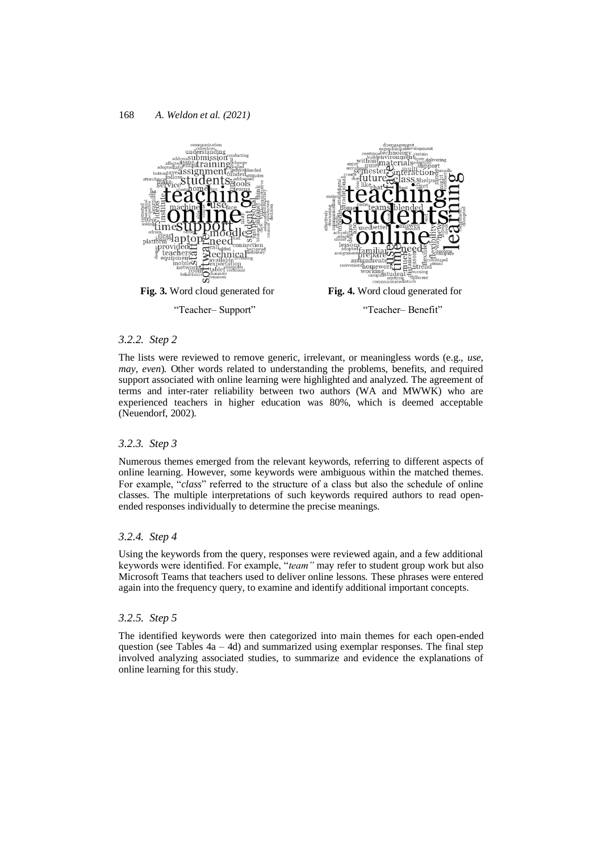

#### *3.2.2. Step 2*

The lists were reviewed to remove generic, irrelevant, or meaningless words (e.g., *use, may, even*)*.* Other words related to understanding the problems, benefits, and required support associated with online learning were highlighted and analyzed. The agreement of terms and inter-rater reliability between two authors (WA and MWWK) who are experienced teachers in higher education was 80%, which is deemed acceptable (Neuendorf, 2002).

# *3.2.3. Step 3*

Numerous themes emerged from the relevant keywords, referring to different aspects of online learning. However, some keywords were ambiguous within the matched themes. For example, "*class*" referred to the structure of a class but also the schedule of online classes. The multiple interpretations of such keywords required authors to read openended responses individually to determine the precise meanings.

#### *3.2.4. Step 4*

Using the keywords from the query, responses were reviewed again, and a few additional keywords were identified. For example, "*team"* may refer to student group work but also Microsoft Teams that teachers used to deliver online lessons. These phrases were entered again into the frequency query, to examine and identify additional important concepts.

# *3.2.5. Step 5*

The identified keywords were then categorized into main themes for each open-ended question (see Tables  $4a - 4d$ ) and summarized using exemplar responses. The final step involved analyzing associated studies, to summarize and evidence the explanations of online learning for this study.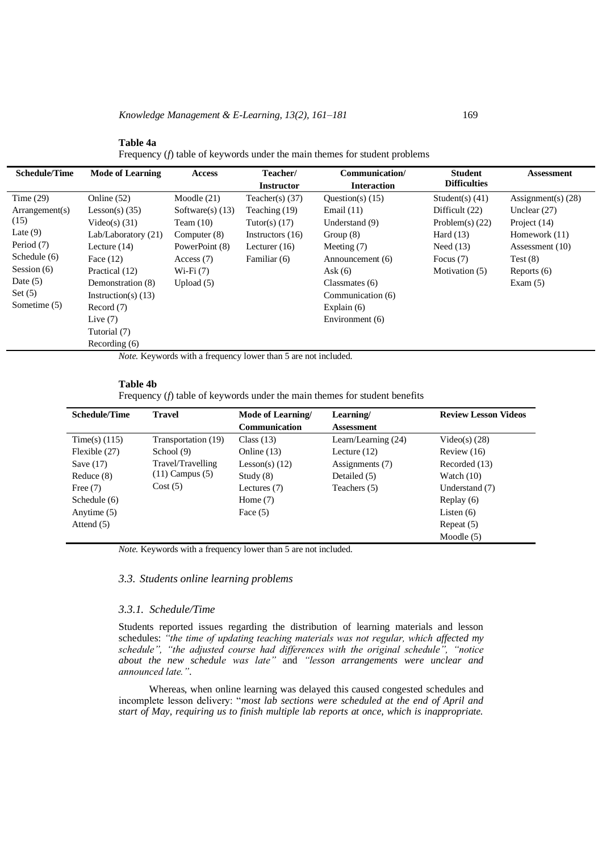**Table 4a** Frequency (*f*) table of keywords under the main themes for student problems

| <b>Schedule/Time</b>    | <b>Mode of Learning</b> | <b>Access</b>      | Teacher/<br><b>Instructor</b> | Communication/<br><b>Interaction</b> | <b>Student</b><br><b>Difficulties</b> | <b>Assessment</b>    |
|-------------------------|-------------------------|--------------------|-------------------------------|--------------------------------------|---------------------------------------|----------------------|
| Time $(29)$             | Online (52)             | Moodle $(21)$      | Teacher(s) $(37)$             | Ouestion(s) $(15)$                   | Student(s) $(41)$                     | Assignment(s) $(28)$ |
| $\text{Arrangement(s)}$ | Lesson(s) $(35)$        | Software(s) $(13)$ | Teaching (19)                 | Email $(11)$                         | Difficult (22)                        | Unclear $(27)$       |
| (15)                    | Video(s) $(31)$         | Team $(10)$        | Tutor(s) $(17)$               | Understand (9)                       | Problem $(s)$ (22)                    | Project (14)         |
| Late $(9)$              | Lab/Laboratory (21)     | Computer $(8)$     | Instructors $(16)$            | Group $(8)$                          | Hard $(13)$                           | Homework $(11)$      |
| Period (7)              | Lecture $(14)$          | PowerPoint (8)     | Lecturer $(16)$               | Meeting $(7)$                        | Need $(13)$                           | Assessment (10)      |
| Schedule (6)            | Face $(12)$             | Access $(7)$       | Familiar (6)                  | Announcement (6)                     | Focus $(7)$                           | Test(8)              |
| Session $(6)$           | Practical (12)          | $Wi-Fi(7)$         |                               | Ask $(6)$                            | Motivation (5)                        | Reports $(6)$        |
| Date $(5)$              | Demonstration (8)       | Upload $(5)$       |                               | Classmates $(6)$                     |                                       | Exam $(5)$           |
| Set $(5)$               | Instruction(s) $(13)$   |                    |                               | Communication (6)                    |                                       |                      |
| Sometime (5)            | Record(7)               |                    |                               | Explain $(6)$                        |                                       |                      |
|                         | Live $(7)$              |                    |                               | Environment (6)                      |                                       |                      |
|                         | Tutorial (7)            |                    |                               |                                      |                                       |                      |
|                         | Recording $(6)$         |                    |                               |                                      |                                       |                      |

*Note.* Keywords with a frequency lower than 5 are not included.

#### **Table 4b**

Frequency (*f*) table of keywords under the main themes for student benefits

| <b>Schedule/Time</b> | <b>Travel</b>       | Mode of Learning/    | Learning/             | <b>Review Lesson Videos</b> |
|----------------------|---------------------|----------------------|-----------------------|-----------------------------|
|                      |                     | <b>Communication</b> | <b>Assessment</b>     |                             |
| Time(s) $(115)$      | Transportation (19) | Class $(13)$         | Learn/Learning $(24)$ | Video(s) $(28)$             |
| Flexible (27)        | School (9)          | Online $(13)$        | Lecture $(12)$        | Review $(16)$               |
| Save $(17)$          | Travel/Travelling   | Lesson(s) $(12)$     | Assignments (7)       | Recorded (13)               |
| Reduce (8)           | $(11)$ Campus $(5)$ | Study $(8)$          | Detailed (5)          | Watch $(10)$                |
| Free $(7)$           | Cost(5)             | Lectures $(7)$       | Teachers (5)          | Understand (7)              |
| Schedule (6)         |                     | Home $(7)$           |                       | Replay $(6)$                |
| Anytime (5)          |                     | Face $(5)$           |                       | Listen $(6)$                |
| Attend $(5)$         |                     |                      |                       | Repeat $(5)$                |
|                      |                     |                      |                       | Moodle $(5)$                |

*Note.* Keywords with a frequency lower than 5 are not included.

# *3.3. Students online learning problems*

# *3.3.1. Schedule/Time*

Students reported issues regarding the distribution of learning materials and lesson schedules: *"the time of updating teaching materials was not regular, which affected my schedule", "the adjusted course had differences with the original schedule", "notice about the new schedule was late"* and *"lesson arrangements were unclear and announced late."*.

Whereas, when online learning was delayed this caused congested schedules and incomplete lesson delivery: "*most lab sections were scheduled at the end of April and start of May, requiring us to finish multiple lab reports at once, which is inappropriate.*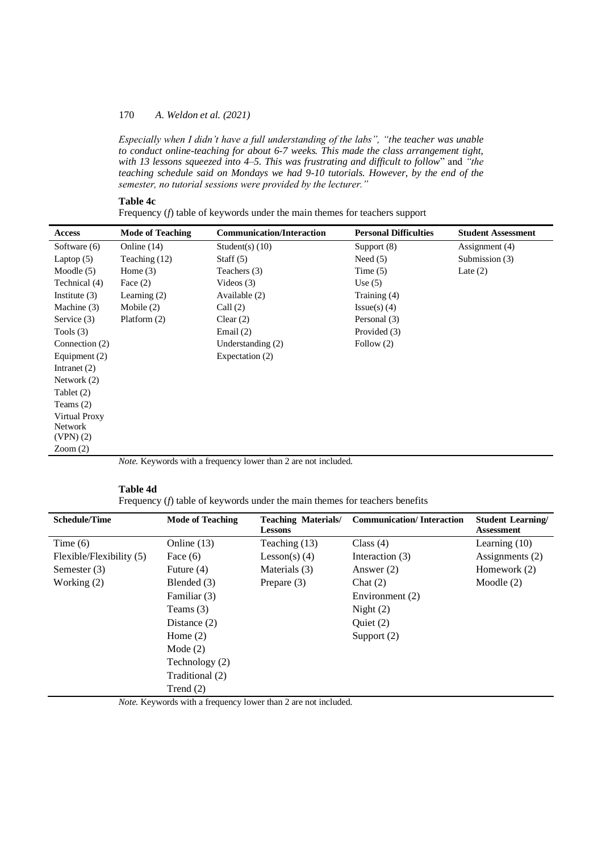*Especially when I didn't have a full understanding of the labs", "the teacher was unable to conduct online-teaching for about 6-7 weeks. This made the class arrangement tight, with 13 lessons squeezed into 4–5. This was frustrating and difficult to follow*" and *"the teaching schedule said on Mondays we had 9-10 tutorials. However, by the end of the semester, no tutorial sessions were provided by the lecturer."*

# **Table 4c**

Frequency (*f*) table of keywords under the main themes for teachers support

| <b>Access</b>                                                         | <b>Mode of Teaching</b> | <b>Communication/Interaction</b> | <b>Personal Difficulties</b> | <b>Student Assessment</b> |
|-----------------------------------------------------------------------|-------------------------|----------------------------------|------------------------------|---------------------------|
| Software (6)                                                          | Online $(14)$           | Student(s) $(10)$                | Support $(8)$                | Assignment (4)            |
| Laptop $(5)$                                                          | Teaching $(12)$         | Staff $(5)$                      | Need $(5)$                   | Submission (3)            |
| Moodle $(5)$                                                          | Home $(3)$              | Teachers (3)                     | Time $(5)$                   | Late $(2)$                |
| Technical (4)                                                         | Face $(2)$              | Videos $(3)$                     | Use $(5)$                    |                           |
| Institute $(3)$                                                       | Learning $(2)$          | Available (2)                    | Training (4)                 |                           |
| Machine (3)                                                           | Mobile $(2)$            | Call $(2)$                       | $Issue(s)$ (4)               |                           |
| Service (3)                                                           | Platform $(2)$          | Clear $(2)$                      | Personal (3)                 |                           |
| Tools $(3)$                                                           |                         | Email $(2)$                      | Provided (3)                 |                           |
| Connection (2)                                                        |                         | Understanding $(2)$              | Follow (2)                   |                           |
| Equipment (2)                                                         |                         | Expectation (2)                  |                              |                           |
| Intranet $(2)$                                                        |                         |                                  |                              |                           |
| Network $(2)$                                                         |                         |                                  |                              |                           |
| Tablet (2)                                                            |                         |                                  |                              |                           |
| Teams $(2)$                                                           |                         |                                  |                              |                           |
| Virtual Proxy                                                         |                         |                                  |                              |                           |
| <b>Network</b>                                                        |                         |                                  |                              |                           |
| $(VPN)$ (2)                                                           |                         |                                  |                              |                           |
| Zoom(2)                                                               |                         |                                  |                              |                           |
| <i>Note.</i> Keywords with a frequency lower than 2 are not included. |                         |                                  |                              |                           |

#### **Table 4d**

Frequency (*f*) table of keywords under the main themes for teachers benefits

| <b>Schedule/Time</b>     | <b>Mode of Teaching</b> | <b>Teaching Materials/</b><br><b>Lessons</b> | <b>Communication/Interaction</b> | <b>Student Learning</b><br><b>Assessment</b> |
|--------------------------|-------------------------|----------------------------------------------|----------------------------------|----------------------------------------------|
| Time $(6)$               | Online $(13)$           | Teaching (13)                                | Class $(4)$                      | Learning $(10)$                              |
| Flexible/Flexibility (5) | Face $(6)$              | Lesson(s) $(4)$                              | Interaction (3)                  | Assignments (2)                              |
| Semester (3)             | Future $(4)$            | Materials (3)                                | Answer $(2)$                     | Homework (2)                                 |
| Working $(2)$            | Blended (3)             | Prepare $(3)$                                | Chat $(2)$                       | Moodle $(2)$                                 |
|                          | Familiar (3)            |                                              | Environment (2)                  |                                              |
|                          | Teams $(3)$             |                                              | Night $(2)$                      |                                              |
|                          | Distance $(2)$          |                                              | Ouiet $(2)$                      |                                              |
|                          | Home $(2)$              |                                              | Support $(2)$                    |                                              |
|                          | Mode $(2)$              |                                              |                                  |                                              |
|                          | Technology (2)          |                                              |                                  |                                              |
|                          | Traditional (2)         |                                              |                                  |                                              |
|                          | Trend $(2)$             |                                              |                                  |                                              |

*Note.* Keywords with a frequency lower than 2 are not included.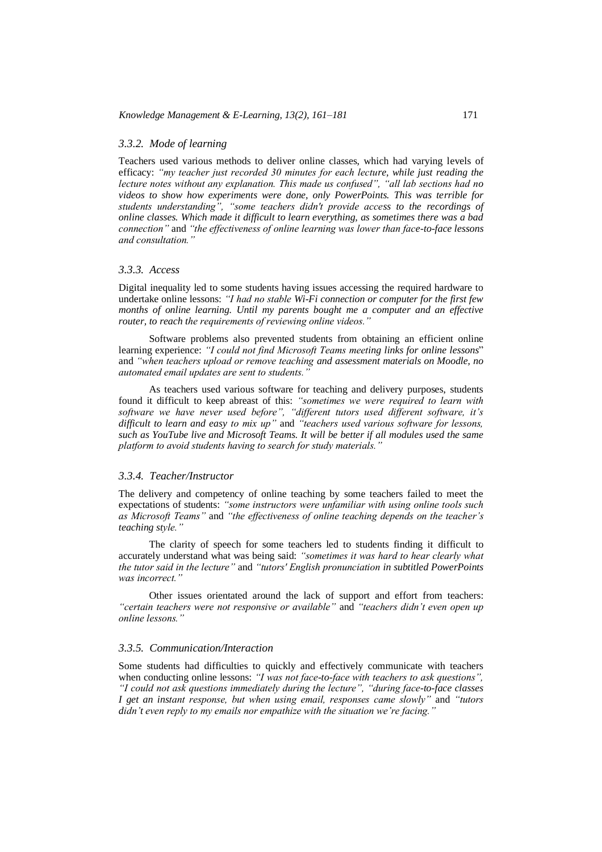# *3.3.2. Mode of learning*

Teachers used various methods to deliver online classes, which had varying levels of efficacy: *"my teacher just recorded 30 minutes for each lecture, while just reading the lecture notes without any explanation. This made us confused", "all lab sections had no videos to show how experiments were done, only PowerPoints. This was terrible for students understanding", "some teachers didn't provide access to the recordings of online classes. Which made it difficult to learn everything, as sometimes there was a bad connection"* and *"the effectiveness of online learning was lower than face-to-face lessons and consultation."*

# *3.3.3. Access*

Digital inequality led to some students having issues accessing the required hardware to undertake online lessons: *"I had no stable Wi-Fi connection or computer for the first few*  months of online learning. Until my parents bought me a computer and an effective *router, to reach the requirements of reviewing online videos."*

Software problems also prevented students from obtaining an efficient online learning experience: *"I could not find Microsoft Teams meeting links for online lessons*" and *"when teachers upload or remove teaching and assessment materials on Moodle, no automated email updates are sent to students."*

As teachers used various software for teaching and delivery purposes, students found it difficult to keep abreast of this: *"sometimes we were required to learn with software we have never used before", "different tutors used different software, it's difficult to learn and easy to mix up"* and *"teachers used various software for lessons, such as YouTube live and Microsoft Teams. It will be better if all modules used the same platform to avoid students having to search for study materials."*

# *3.3.4. Teacher/Instructor*

The delivery and competency of online teaching by some teachers failed to meet the expectations of students: *"some instructors were unfamiliar with using online tools such as Microsoft Teams"* and *"the effectiveness of online teaching depends on the teacher's teaching style."*

The clarity of speech for some teachers led to students finding it difficult to accurately understand what was being said: *"sometimes it was hard to hear clearly what the tutor said in the lecture"* and *"tutors' English pronunciation in subtitled PowerPoints was incorrect."*

Other issues orientated around the lack of support and effort from teachers: *"certain teachers were not responsive or available"* and *"teachers didn't even open up online lessons."*

#### *3.3.5. Communication/Interaction*

Some students had difficulties to quickly and effectively communicate with teachers when conducting online lessons: *"I was not face-to-face with teachers to ask questions", "I could not ask questions immediately during the lecture", "during face-to-face classes I get an instant response, but when using email, responses came slowly"* and *"tutors didn't even reply to my emails nor empathize with the situation we're facing."*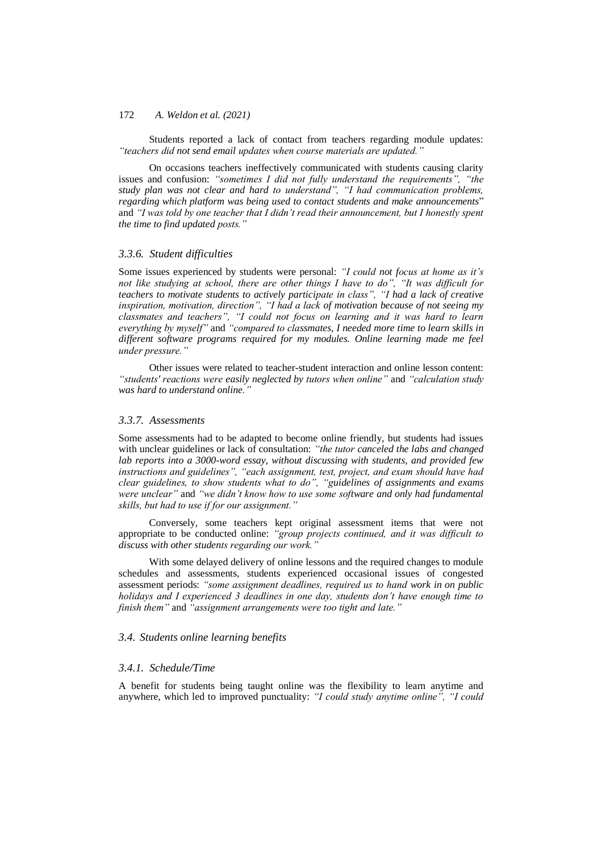Students reported a lack of contact from teachers regarding module updates: *"teachers did not send email updates when course materials are updated."*

On occasions teachers ineffectively communicated with students causing clarity issues and confusion: *"sometimes I did not fully understand the requirements", "the study plan was not clear and hard to understand", "I had communication problems, regarding which platform was being used to contact students and make announcements*" and *"I was told by one teacher that I didn't read their announcement, but I honestly spent the time to find updated posts."*

#### *3.3.6. Student difficulties*

Some issues experienced by students were personal: *"I could not focus at home as it's not like studying at school, there are other things I have to do", "It was difficult for teachers to motivate students to actively participate in class", "I had a lack of creative inspiration, motivation, direction", "I had a lack of motivation because of not seeing my classmates and teachers", "I could not focus on learning and it was hard to learn everything by myself"* and *"compared to classmates, I needed more time to learn skills in different software programs required for my modules. Online learning made me feel under pressure."*

Other issues were related to teacher-student interaction and online lesson content: *"students' reactions were easily neglected by tutors when online"* and *"calculation study was hard to understand online."*

# *3.3.7. Assessments*

Some assessments had to be adapted to become online friendly, but students had issues with unclear guidelines or lack of consultation: *"the tutor canceled the labs and changed lab reports into a 3000-word essay, without discussing with students, and provided few instructions and guidelines", "each assignment, test, project, and exam should have had clear guidelines, to show students what to do", "guidelines of assignments and exams clear guidelines, to show students what to do", "guidelines of assignments and exams were unclear"* and *"we didn't know how to use some software and only had fundamental skills, but had to use if for our assignment."*

Conversely, some teachers kept original assessment items that were not appropriate to be conducted online: *"group projects continued, and it was difficult to discuss with other students regarding our work."*

With some delayed delivery of online lessons and the required changes to module schedules and assessments, students experienced occasional issues of congested assessment periods: *"some assignment deadlines, required us to hand work in on public holidays and I experienced 3 deadlines in one day, students don't have enough time to finish them"* and *"assignment arrangements were too tight and late."*

# *3.4. Students online learning benefits*

#### *3.4.1. Schedule/Time*

A benefit for students being taught online was the flexibility to learn anytime and anywhere, which led to improved punctuality: *"I could study anytime online", "I could*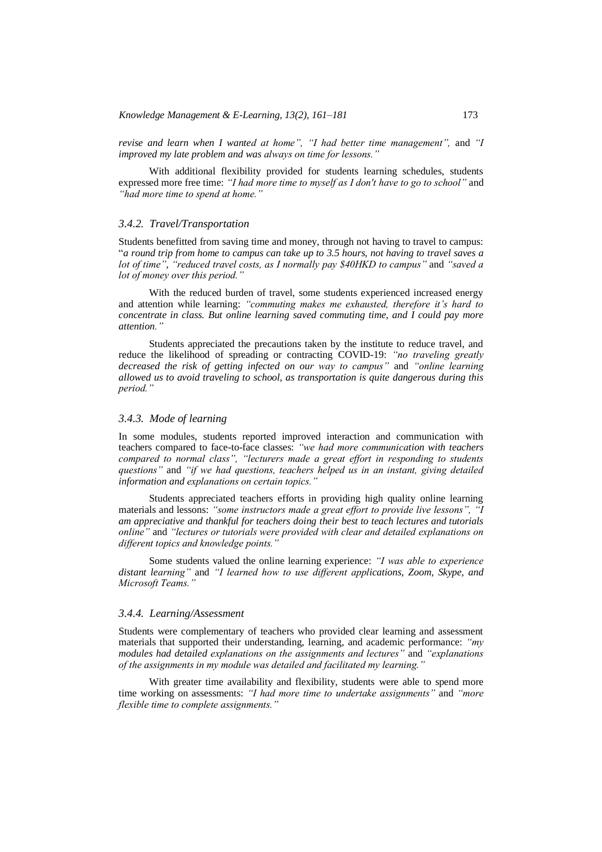*revise and learn when I wanted at home", "I had better time management",* and *"I improved my late problem and was always on time for lessons."*

With additional flexibility provided for students learning schedules, students expressed more free time: *"I had more time to myself as I don't have to go to school"* and *"had more time to spend at home."*

# *3.4.2. Travel/Transportation*

Students benefitted from saving time and money, through not having to travel to campus: "*a round trip from home to campus can take up to 3.5 hours, not having to travel saves a lot of time"*, *"reduced travel costs, as I normally pay \$40HKD to campus"* and *"saved a lot of money over this period."*

With the reduced burden of travel, some students experienced increased energy and attention while learning: *"commuting makes me exhausted, therefore it's hard to concentrate in class. But online learning saved commuting time, and I could pay more attention."*

Students appreciated the precautions taken by the institute to reduce travel, and reduce the likelihood of spreading or contracting COVID-19: *"no traveling greatly decreased the risk of getting infected on our way to campus"* and *"online learning allowed us to avoid traveling to school, as transportation is quite dangerous during this period."*

#### *3.4.3. Mode of learning*

In some modules, students reported improved interaction and communication with teachers compared to face-to-face classes: *"we had more communication with teachers compared to normal class", "lecturers made a great effort in responding to students questions"* and *"if we had questions, teachers helped us in an instant, giving detailed information and explanations on certain topics."*

Students appreciated teachers efforts in providing high quality online learning materials and lessons: *"some instructors made a great effort to provide live lessons", "I am appreciative and thankful for teachers doing their best to teach lectures and tutorials online"* and *"lectures or tutorials were provided with clear and detailed explanations on different topics and knowledge points."*

Some students valued the online learning experience: *"I was able to experience distant learning"* and *"I learned how to use different applications, Zoom, Skype, and Microsoft Teams."*

#### *3.4.4. Learning/Assessment*

Students were complementary of teachers who provided clear learning and assessment materials that supported their understanding, learning, and academic performance: *"my modules had detailed explanations on the assignments and lectures"* and *"explanations of the assignments in my module was detailed and facilitated my learning."*

With greater time availability and flexibility, students were able to spend more time working on assessments: *"I had more time to undertake assignments"* and *"more flexible time to complete assignments."*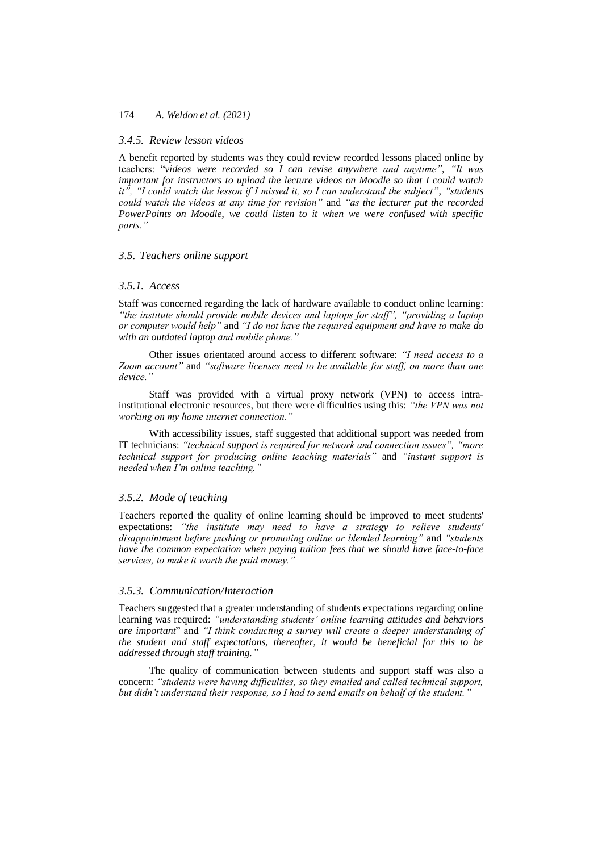# *3.4.5. Review lesson videos*

A benefit reported by students was they could review recorded lessons placed online by teachers: "*videos were recorded so I can revise anywhere and anytime"*, *"It was important for instructors to upload the lecture videos on Moodle so that I could watch it", "I could watch the lesson if I missed it, so I can understand the subject"*, *"students could watch the videos at any time for revision"* and *"as the lecturer put the recorded PowerPoints on Moodle, we could listen to it when we were confused with specific parts."*

# *3.5. Teachers online support*

# *3.5.1. Access*

Staff was concerned regarding the lack of hardware available to conduct online learning: *"the institute should provide mobile devices and laptops for staff", "providing a laptop or computer would help"* and *"I do not have the required equipment and have to make do with an outdated laptop and mobile phone."*

Other issues orientated around access to different software: *"I need access to a Zoom account"* and *"software licenses need to be available for staff, on more than one device."*

Staff was provided with a virtual proxy network (VPN) to access intrainstitutional electronic resources, but there were difficulties using this: *"the VPN was not working on my home internet connection."*

With accessibility issues, staff suggested that additional support was needed from IT technicians: *"technical support is required for network and connection issues", "more technical support for producing online teaching materials"* and *"instant support is needed when I'm online teaching."*

# *3.5.2. Mode of teaching*

Teachers reported the quality of online learning should be improved to meet students' expectations: *"the institute may need to have a strategy to relieve students' disappointment before pushing or promoting online or blended learning"* and *"students have the common expectation when paying tuition fees that we should have face-to-face services, to make it worth the paid money."*

#### *3.5.3. Communication/Interaction*

Teachers suggested that a greater understanding of students expectations regarding online learning was required: *"understanding students' online learning attitudes and behaviors are important*" and *"I think conducting a survey will create a deeper understanding of the student and staff expectations, thereafter, it would be beneficial for this to be addressed through staff training."*

The quality of communication between students and support staff was also a concern: *"students were having difficulties, so they emailed and called technical support, but didn't understand their response, so I had to send emails on behalf of the student."*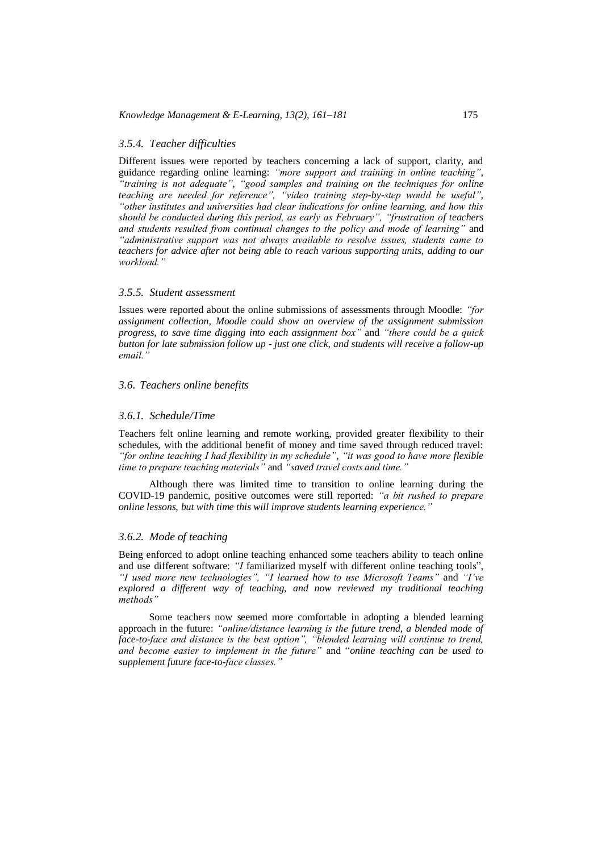#### *3.5.4. Teacher difficulties*

Different issues were reported by teachers concerning a lack of support, clarity, and guidance regarding online learning: *"more support and training in online teaching"*, *"training is not adequate"*, *"good samples and training on the techniques for online teaching are needed for reference", "video training step-by-step would be useful"*, *"other institutes and universities had clear indications for online learning, and how this should be conducted during this period, as early as February", "frustration of teachers and students resulted from continual changes to the policy and mode of learning"* and *"administrative support was not always available to resolve issues, students came to teachers for advice after not being able to reach various supporting units, adding to our workload."*

# *3.5.5. Student assessment*

Issues were reported about the online submissions of assessments through Moodle: *"for assignment collection, Moodle could show an overview of the assignment submission progress, to save time digging into each assignment box"* and *"there could be a quick button for late submission follow up - just one click, and students will receive a follow-up email."*

# *3.6. Teachers online benefits*

# *3.6.1. Schedule/Time*

Teachers felt online learning and remote working, provided greater flexibility to their schedules, with the additional benefit of money and time saved through reduced travel: *"for online teaching I had flexibility in my schedule"*, *"it was good to have more flexible time to prepare teaching materials"* and *"saved travel costs and time."*

Although there was limited time to transition to online learning during the COVID-19 pandemic, positive outcomes were still reported: *"a bit rushed to prepare online lessons, but with time this will improve students learning experience."*

# *3.6.2. Mode of teaching*

Being enforced to adopt online teaching enhanced some teachers ability to teach online and use different software: *"I* familiarized myself with different online teaching tools", *"I used more new technologies", "I learned how to use Microsoft Teams"* and *"I've explored a different way of teaching, and now reviewed my traditional teaching methods"*

Some teachers now seemed more comfortable in adopting a blended learning approach in the future: *"online/distance learning is the future trend, a blended mode of face-to-face and distance is the best option", "blended learning will continue to trend, and become easier to implement in the future"* and "*online teaching can be used to supplement future face-to-face classes."*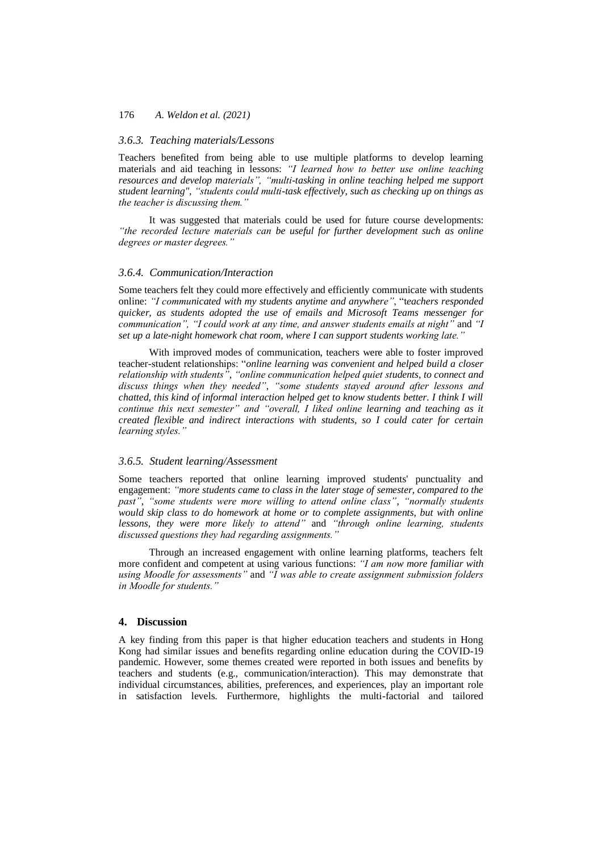# *3.6.3. Teaching materials/Lessons*

Teachers benefited from being able to use multiple platforms to develop learning materials and aid teaching in lessons: *"I learned how to better use online teaching resources and develop materials", "multi-tasking in online teaching helped me support student learning", "students could multi-task effectively, such as checking up on things as the teacher is discussing them."*

It was suggested that materials could be used for future course developments: *"the recorded lecture materials can be useful for further development such as online degrees or master degrees."*

# *3.6.4. Communication/Interaction*

Some teachers felt they could more effectively and efficiently communicate with students online: *"I communicated with my students anytime and anywhere"*, "t*eachers responded quicker, as students adopted the use of emails and Microsoft Teams messenger for communication", "I could work at any time, and answer students emails at night"* and *"I set up a late-night homework chat room, where I can support students working late."*

With improved modes of communication, teachers were able to foster improved teacher-student relationships: "*online learning was convenient and helped build a closer relationship with students"*, *"online communication helped quiet students, to connect and discuss things when they needed"*, *"some students stayed around after lessons and chatted, this kind of informal interaction helped get to know students better. I think I will continue this next semester" and "overall, I liked online learning and teaching as it created flexible and indirect interactions with students, so I could cater for certain learning styles."*

#### *3.6.5. Student learning/Assessment*

Some teachers reported that online learning improved students' punctuality and engagement: *"more students came to class in the later stage of semester, compared to the past"*, *"some students were more willing to attend online class"*, *"normally students would skip class to do homework at home or to complete assignments, but with online lessons, they were more likely to attend"* and *"through online learning, students discussed questions they had regarding assignments."*

Through an increased engagement with online learning platforms, teachers felt more confident and competent at using various functions: *"I am now more familiar with using Moodle for assessments"* and *"I was able to create assignment submission folders in Moodle for students."*

# **4. Discussion**

A key finding from this paper is that higher education teachers and students in Hong Kong had similar issues and benefits regarding online education during the COVID-19 pandemic. However, some themes created were reported in both issues and benefits by teachers and students (e.g., communication/interaction). This may demonstrate that individual circumstances, abilities, preferences, and experiences, play an important role in satisfaction levels. Furthermore, highlights the multi-factorial and tailored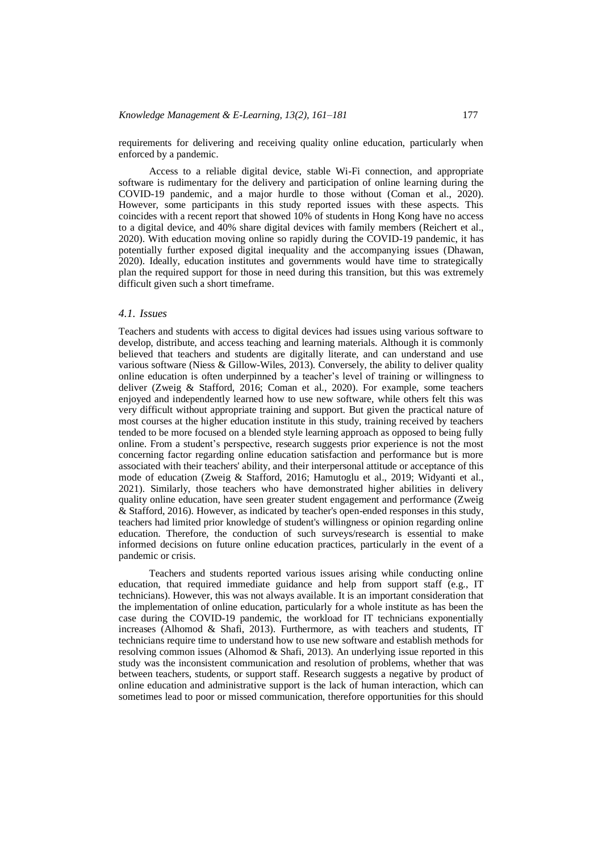requirements for delivering and receiving quality online education, particularly when enforced by a pandemic.

Access to a reliable digital device, stable Wi-Fi connection, and appropriate software is rudimentary for the delivery and participation of online learning during the COVID-19 pandemic, and a major hurdle to those without (Coman et al., 2020). However, some participants in this study reported issues with these aspects. This coincides with a recent report that showed 10% of students in Hong Kong have no access to a digital device, and 40% share digital devices with family members (Reichert et al., 2020). With education moving online so rapidly during the COVID-19 pandemic, it has potentially further exposed digital inequality and the accompanying issues (Dhawan, 2020). Ideally, education institutes and governments would have time to strategically plan the required support for those in need during this transition, but this was extremely difficult given such a short timeframe.

# *4.1. Issues*

Teachers and students with access to digital devices had issues using various software to develop, distribute, and access teaching and learning materials. Although it is commonly believed that teachers and students are digitally literate, and can understand and use various software (Niess & Gillow-Wiles, 2013). Conversely, the ability to deliver quality online education is often underpinned by a teacher's level of training or willingness to deliver (Zweig & Stafford, 2016; Coman et al., 2020). For example, some teachers enjoyed and independently learned how to use new software, while others felt this was very difficult without appropriate training and support. But given the practical nature of most courses at the higher education institute in this study, training received by teachers tended to be more focused on a blended style learning approach as opposed to being fully online. From a student's perspective, research suggests prior experience is not the most concerning factor regarding online education satisfaction and performance but is more associated with their teachers' ability, and their interpersonal attitude or acceptance of this mode of education (Zweig & Stafford, 2016; Hamutoglu et al., 2019; Widyanti et al., 2021). Similarly, those teachers who have demonstrated higher abilities in delivery quality online education, have seen greater student engagement and performance (Zweig & Stafford, 2016). However, as indicated by teacher's open-ended responses in this study, teachers had limited prior knowledge of student's willingness or opinion regarding online education. Therefore, the conduction of such surveys/research is essential to make informed decisions on future online education practices, particularly in the event of a pandemic or crisis.

Teachers and students reported various issues arising while conducting online education, that required immediate guidance and help from support staff (e.g., IT technicians). However, this was not always available. It is an important consideration that the implementation of online education, particularly for a whole institute as has been the case during the COVID-19 pandemic, the workload for IT technicians exponentially increases (Alhomod & Shafi, 2013). Furthermore, as with teachers and students, IT technicians require time to understand how to use new software and establish methods for resolving common issues (Alhomod & Shafi, 2013). An underlying issue reported in this study was the inconsistent communication and resolution of problems, whether that was between teachers, students, or support staff. Research suggests a negative by product of online education and administrative support is the lack of human interaction, which can sometimes lead to poor or missed communication, therefore opportunities for this should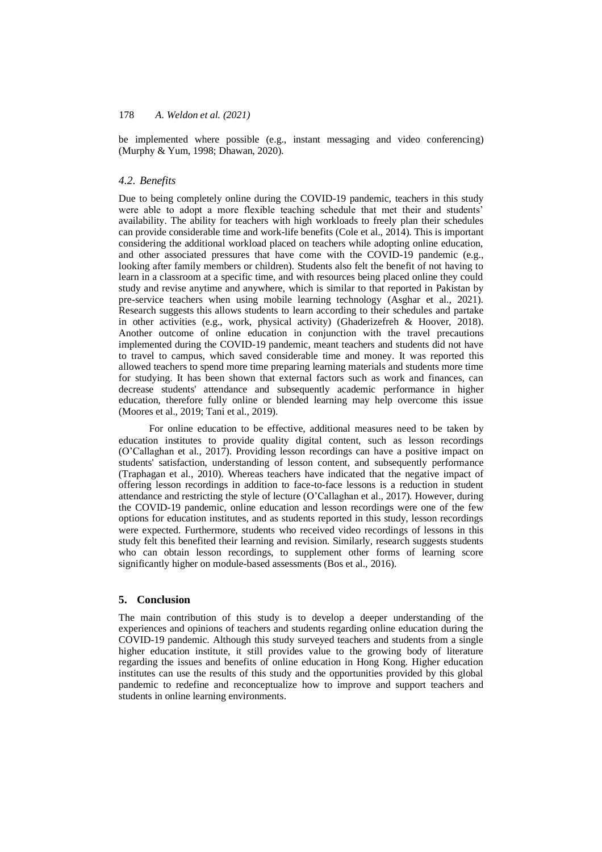be implemented where possible (e.g., instant messaging and video conferencing) (Murphy & Yum, 1998; Dhawan, 2020).

# *4.2. Benefits*

Due to being completely online during the COVID-19 pandemic, teachers in this study were able to adopt a more flexible teaching schedule that met their and students' availability. The ability for teachers with high workloads to freely plan their schedules can provide considerable time and work-life benefits (Cole et al., 2014). This is important considering the additional workload placed on teachers while adopting online education, and other associated pressures that have come with the COVID-19 pandemic (e.g., looking after family members or children). Students also felt the benefit of not having to learn in a classroom at a specific time, and with resources being placed online they could study and revise anytime and anywhere, which is similar to that reported in Pakistan by pre-service teachers when using mobile learning technology (Asghar et al., 2021). Research suggests this allows students to learn according to their schedules and partake in other activities (e.g., work, physical activity) (Ghaderizefreh & Hoover, 2018). Another outcome of online education in conjunction with the travel precautions implemented during the COVID-19 pandemic, meant teachers and students did not have to travel to campus, which saved considerable time and money. It was reported this allowed teachers to spend more time preparing learning materials and students more time for studying. It has been shown that external factors such as work and finances, can decrease students' attendance and subsequently academic performance in higher education, therefore fully online or blended learning may help overcome this issue (Moores et al., 2019; Tani et al., 2019).

For online education to be effective, additional measures need to be taken by education institutes to provide quality digital content, such as lesson recordings (O'Callaghan et al., 2017). Providing lesson recordings can have a positive impact on students' satisfaction, understanding of lesson content, and subsequently performance (Traphagan et al., 2010). Whereas teachers have indicated that the negative impact of offering lesson recordings in addition to face-to-face lessons is a reduction in student attendance and restricting the style of lecture (O'Callaghan et al., 2017). However, during the COVID-19 pandemic, online education and lesson recordings were one of the few options for education institutes, and as students reported in this study, lesson recordings were expected. Furthermore, students who received video recordings of lessons in this study felt this benefited their learning and revision. Similarly, research suggests students who can obtain lesson recordings, to supplement other forms of learning score significantly higher on module-based assessments (Bos et al., 2016).

# **5. Conclusion**

The main contribution of this study is to develop a deeper understanding of the experiences and opinions of teachers and students regarding online education during the COVID-19 pandemic. Although this study surveyed teachers and students from a single higher education institute, it still provides value to the growing body of literature regarding the issues and benefits of online education in Hong Kong. Higher education institutes can use the results of this study and the opportunities provided by this global pandemic to redefine and reconceptualize how to improve and support teachers and students in online learning environments.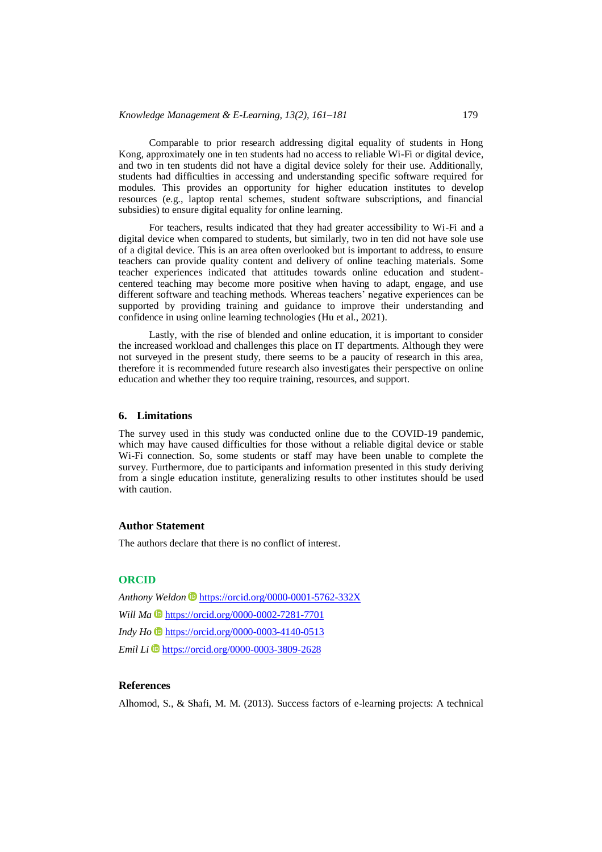Comparable to prior research addressing digital equality of students in Hong Kong, approximately one in ten students had no access to reliable Wi-Fi or digital device, and two in ten students did not have a digital device solely for their use. Additionally, students had difficulties in accessing and understanding specific software required for modules. This provides an opportunity for higher education institutes to develop resources (e.g., laptop rental schemes, student software subscriptions, and financial subsidies) to ensure digital equality for online learning.

For teachers, results indicated that they had greater accessibility to Wi-Fi and a digital device when compared to students, but similarly, two in ten did not have sole use of a digital device. This is an area often overlooked but is important to address, to ensure teachers can provide quality content and delivery of online teaching materials. Some teacher experiences indicated that attitudes towards online education and studentcentered teaching may become more positive when having to adapt, engage, and use different software and teaching methods. Whereas teachers' negative experiences can be supported by providing training and guidance to improve their understanding and confidence in using online learning technologies (Hu et al., 2021).

Lastly, with the rise of blended and online education, it is important to consider the increased workload and challenges this place on IT departments. Although they were not surveyed in the present study, there seems to be a paucity of research in this area, therefore it is recommended future research also investigates their perspective on online education and whether they too require training, resources, and support.

# **6. Limitations**

The survey used in this study was conducted online due to the COVID-19 pandemic, which may have caused difficulties for those without a reliable digital device or stable Wi-Fi connection. So, some students or staff may have been unable to complete the survey. Furthermore, due to participants and information presented in this study deriving from a single education institute, generalizing results to other institutes should be used with caution.

# **Author Statement**

The authors declare that there is no conflict of interest.

# **ORCID**

*Anthony Weldon* <https://orcid.org/0000-0001-5762-332X> *Will Ma* **b** <https://orcid.org/0000-0002-7281-7701> *Indy Ho* <https://orcid.org/0000-0003-4140-0513> *Emil Li* **<https://orcid.org/0000-0003-3809-2628>** 

# **References**

Alhomod, S., & Shafi, M. M. (2013). Success factors of e-learning projects: A technical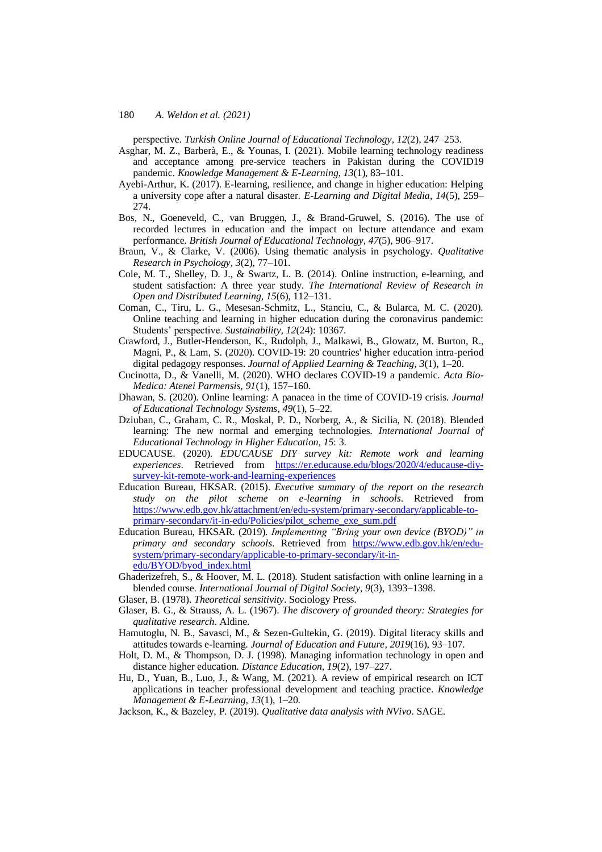perspective. *Turkish Online Journal of Educational Technology, 12*(2), 247–253.

- Asghar, M. Z., Barberà, E., & Younas, I. (2021). Mobile learning technology readiness and acceptance among pre-service teachers in Pakistan during the COVID19 pandemic. *Knowledge Management & E-Learning, 13*(1), 83–101.
- Ayebi-Arthur, K. (2017). E-learning, resilience, and change in higher education: Helping a university cope after a natural disaster. *E-Learning and Digital Media, 14*(5), 259– 274.
- Bos, N., Goeneveld, C., van Bruggen, J., & Brand-Gruwel, S. (2016). The use of recorded lectures in education and the impact on lecture attendance and exam performance. *British Journal of Educational Technology, 47*(5), 906–917.
- Braun, V., & Clarke, V. (2006). Using thematic analysis in psychology. *Qualitative Research in Psychology, 3*(2), 77–101.
- Cole, M. T., Shelley, D. J., & Swartz, L. B. (2014). Online instruction, e-learning, and student satisfaction: A three year study. *The International Review of Research in Open and Distributed Learning, 15*(6), 112–131.
- Coman, C., Tiru, L. G., Mesesan-Schmitz, L., Stanciu, C., & Bularca, M. C. (2020). Online teaching and learning in higher education during the coronavirus pandemic: Students' perspective. *Sustainability, 12*(24): 10367.
- Crawford, J., Butler-Henderson, K., Rudolph, J., Malkawi, B., Glowatz, M. Burton, R., Magni, P., & Lam, S. (2020). COVID-19: 20 countries' higher education intra-period digital pedagogy responses. *Journal of Applied Learning & Teaching, 3*(1), 1–20.
- Cucinotta, D., & Vanelli, M. (2020). WHO declares COVID-19 a pandemic. *Acta Bio-Medica: Atenei Parmensis, 91*(1), 157–160.
- Dhawan, S. (2020). Online learning: A panacea in the time of COVID-19 crisis. *Journal of Educational Technology Systems, 49*(1), 5–22.
- Dziuban, C., Graham, C. R., Moskal, P. D., Norberg, A., & Sicilia, N. (2018). Blended learning: The new normal and emerging technologies. *International Journal of Educational Technology in Higher Education, 15*: 3.
- EDUCAUSE. (2020). *EDUCAUSE DIY survey kit: Remote work and learning experiences*. Retrieved from [https://er.educause.edu/blogs/2020/4/educause-diy](https://er.educause.edu/blogs/2020/4/educause-diy-survey-kit-remote-work-and-learning-experiences)[survey-kit-remote-work-and-learning-experiences](https://er.educause.edu/blogs/2020/4/educause-diy-survey-kit-remote-work-and-learning-experiences)
- Education Bureau, HKSAR. (2015). *Executive summary of the report on the research study on the pilot scheme on e-learning in schools*. Retrieved from [https://www.edb.gov.hk/attachment/en/edu-system/primary-secondary/applicable-to](https://www.edb.gov.hk/attachment/en/edu-system/primary-secondary/applicable-to-primary-secondary/it-in-edu/Policies/pilot_scheme_exe_sum.pdf)[primary-secondary/it-in-edu/Policies/pilot\\_scheme\\_exe\\_sum.pdf](https://www.edb.gov.hk/attachment/en/edu-system/primary-secondary/applicable-to-primary-secondary/it-in-edu/Policies/pilot_scheme_exe_sum.pdf)
- Education Bureau, HKSAR. (2019). *Implementing "Bring your own device (BYOD)" in primary and secondary schools*. Retrieved from [https://www.edb.gov.hk/en/edu](https://www.edb.gov.hk/en/edu-system/primary-secondary/applicable-to-primary-secondary/it-in-edu/BYOD/byod_index.html)[system/primary-secondary/applicable-to-primary-secondary/it-in](https://www.edb.gov.hk/en/edu-system/primary-secondary/applicable-to-primary-secondary/it-in-edu/BYOD/byod_index.html)[edu/BYOD/byod\\_index.html](https://www.edb.gov.hk/en/edu-system/primary-secondary/applicable-to-primary-secondary/it-in-edu/BYOD/byod_index.html)
- Ghaderizefreh, S., & Hoover, M. L. (2018). Student satisfaction with online learning in a blended course. *International Journal of Digital Society, 9*(3), 1393–1398.
- Glaser, B. (1978). *Theoretical sensitivity*. Sociology Press.
- Glaser, B. G., & Strauss, A. L. (1967). *The discovery of grounded theory: Strategies for qualitative research*. Aldine.
- Hamutoglu, N. B., Savasci, M., & Sezen-Gultekin, G. (2019). Digital literacy skills and attitudes towards e-learning. *Journal of Education and Future, 2019*(16), 93–107.
- Holt, D. M., & Thompson, D. J. (1998). Managing information technology in open and distance higher education. *Distance Education, 19*(2), 197–227.
- Hu, D., Yuan, B., Luo, J., & Wang, M. (2021). A review of empirical research on ICT applications in teacher professional development and teaching practice. *Knowledge Management & E-Learning, 13*(1), 1–20.
- Jackson, K., & Bazeley, P. (2019). *Qualitative data analysis with NVivo*. SAGE.